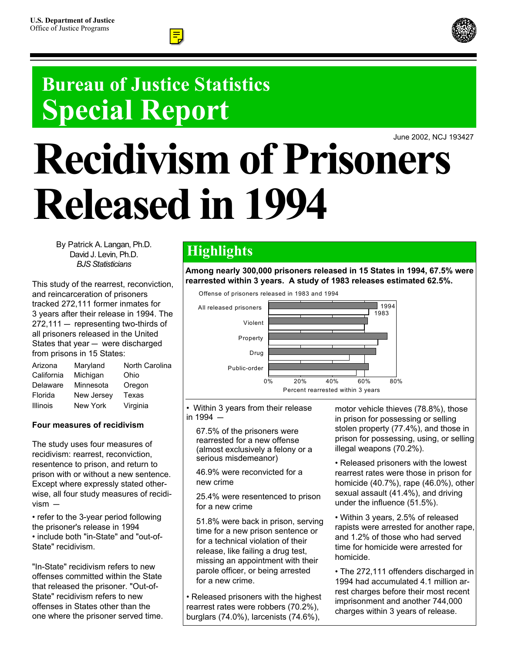

# **Bureau of Justice Statistics Special Report**

June 2002, NCJ 193427

# **Recidivism of Prisoners Released in 1994**

By Patrick A. Langan, Ph.D. David J. Levin, Ph.D. *BJS Statisticians*

This study of the rearrest, reconviction, and reincarceration of prisoners tracked 272,111 former inmates for 3 years after their release in 1994. The  $272,111 -$  representing two-thirds of all prisoners released in the United States that year  $-$  were discharged from prisons in 15 States:

| Arizona    | Maryland   | North Carolina |
|------------|------------|----------------|
| California | Michigan   | Ohio           |
| Delaware   | Minnesota  | Oregon         |
| Florida    | New Jersey | Texas          |
| Illinois   | New York   | Virginia       |

#### **Four measures of recidivism**

The study uses four measures of recidivism: rearrest, reconviction, resentence to prison, and return to prison with or without a new sentence. Except where expressly stated otherwise, all four study measures of recidi $vism -$ 

• refer to the 3-year period following the prisoner's release in 1994 • include both "in-State" and "out-of-State" recidivism.

"In-State" recidivism refers to new offenses committed within the State that released the prisoner. "Out-of-State" recidivism refers to new offenses in States other than the one where the prisoner served time.

## **Highlights**

**Among nearly 300,000 prisoners released in 15 States in 1994, 67.5% were rearrested within 3 years. A study of 1983 releases estimated 62.5%.**





• Within 3 years from their release in  $1994 -$ 

 67.5% of the prisoners were rearrested for a new offense (almost exclusively a felony or a serious misdemeanor)

 46.9% were reconvicted for a new crime

 25.4% were resentenced to prison for a new crime

 51.8% were back in prison, serving time for a new prison sentence or for a technical violation of their release, like failing a drug test, missing an appointment with their parole officer, or being arrested for a new crime.

• Released prisoners with the highest rearrest rates were robbers (70.2%), burglars (74.0%), larcenists (74.6%),

motor vehicle thieves (78.8%), those in prison for possessing or selling stolen property (77.4%), and those in prison for possessing, using, or selling illegal weapons (70.2%).

 • Released prisoners with the lowest rearrest rates were those in prison for homicide (40.7%), rape (46.0%), other sexual assault (41.4%), and driving under the influence (51.5%).

• Within 3 years, 2.5% of released rapists were arrested for another rape, and 1.2% of those who had served time for homicide were arrested for homicide.

• The 272,111 offenders discharged in 1994 had accumulated 4.1 million arrest charges before their most recent imprisonment and another 744,000 charges within 3 years of release.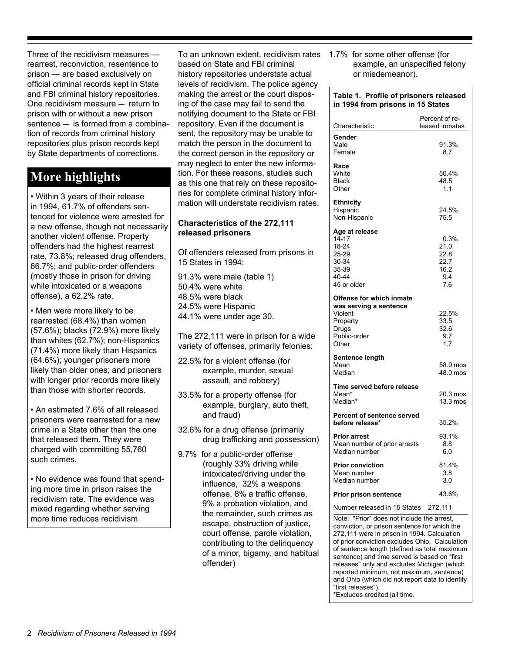Three of the recidivism measures rearrest, reconviction, resentence to prison — are based exclusively on official criminal records kept in State and FBI criminal history repositories. One recidivism measure  $-$  return to prison with or without a new prison sentence  $-$  is formed from a combination of records from criminal history repositories plus prison records kept by State departments of corrections.

### **More highlights**

• Within 3 years of their release in 1994, 61.7% of offenders sentenced for violence were arrested for a new offense, though not necessarily another violent offense. Property offenders had the highest rearrest rate, 73.8%; released drug offenders, 66.7%; and public-order offenders (mostly those in prison for driving while intoxicated or a weapons offense), a 62.2% rate.

• Men were more likely to be rearrested (68.4%) than women (57.6%); blacks (72.9%) more likely than whites (62.7%); non-Hispanics (71.4%) more likely than Hispanics (64.6%); younger prisoners more likely than older ones; and prisoners with longer prior records more likely than those with shorter records.

• An estimated 7.6% of all released prisoners were rearrested for a new crime in a State other than the one that released them. They were charged with committing 55,760 such crimes.

• No evidence was found that spending more time in prison raises the recidivism rate. The evidence was mixed regarding whether serving more time reduces recidivism.

To an unknown extent, recidivism rates based on State and FBI criminal history repositories understate actual levels of recidivism. The police agency making the arrest or the court disposing of the case may fail to send the notifying document to the State or FBI repository. Even if the document is sent, the repository may be unable to match the person in the document to the correct person in the repository or may neglect to enter the new information. For these reasons, studies such as this one that rely on these repositories for complete criminal history information will understate recidivism rates.

#### **Characteristics of the 272,111 released prisoners**

Of offenders released from prisons in 15 States in 1994:

91.3% were male (table 1) 50.4% were white 48.5% were black 24.5% were Hispanic 44.1% were under age 30.

The 272,111 were in prison for a wide variety of offenses, primarily felonies:

- 22.5% for a violent offense (for example, murder, sexual assault, and robbery)
- 33.5% for a property offense (for example, burglary, auto theft, and fraud)
- 32.6% for a drug offense (primarily drug trafficking and possession)
- 9.7% for a public-order offense (roughly 33% driving while intoxicated/driving under the influence, 32% a weapons offense, 8% a traffic offense, 9% a probation violation, and the remainder, such crimes as escape, obstruction of justice, court offense, parole violation, contributing to the delinquency of a minor, bigamy, and habitual offender)

1.7% for some other offense (for example, an unspecified felony or misdemeanor).

#### **Table 1. Profile of prisoners released in 1994 from prisons in 15 States**

| Characteristic                                                                                              | Percent of re-<br>leased inmates                   |
|-------------------------------------------------------------------------------------------------------------|----------------------------------------------------|
| Gender<br>Male<br>Female                                                                                    | 91.3%<br>8.7                                       |
| Race<br>White<br><b>Black</b><br>Other                                                                      | 50.4%<br>48.5<br>1.1                               |
| <b>Ethnicity</b><br>Hispanic<br>Non-Hispanic                                                                | 24.5%<br>75.5                                      |
| Age at release<br>$14 - 17$<br>18-24<br>25-29<br>30-34<br>35-39<br>40-44<br>45 or older                     | 0.3%<br>21.0<br>22.8<br>22.7<br>16.2<br>9.4<br>7.6 |
| Offense for which inmate<br>was serving a sentence<br>Violent<br>Property<br>Drugs<br>Public-order<br>Other | 22.5%<br>33.5<br>32.6<br>9.7<br>1.7                |
| Sentence length<br>Mean<br>Median                                                                           | 58.9 mos<br>48.0 mos                               |
| Time served before release<br>Mean*<br>Median*                                                              | 20.3 mos<br>$13.3 \text{ mos}$                     |
| <b>Percent of sentence served</b><br>before release*                                                        | 35.2%                                              |
| <b>Prior arrest</b><br>Mean number of prior arrests<br>Median number                                        | 93.1%<br>8.8<br>6.0                                |
| <b>Prior conviction</b><br>Mean number<br>Median number                                                     | 81.4%<br>3.8<br>3.0                                |
| <b>Prior prison sentence</b>                                                                                | 43.6%                                              |
| Number released in 15 States                                                                                | 272,111                                            |

Note: "Prior" does not include the arrest, conviction, or prison sentence for which the 272,111 were in prison in 1994. Calculation of prior conviction excludes Ohio. Calculation of sentence length (defined as total maximum sentence) and time served is based on "first releases" only and excludes Michigan (which reported minimum, not maximum, sentence) and Ohio (which did not report data to identify "first releases"). \*Excludes credited jail time.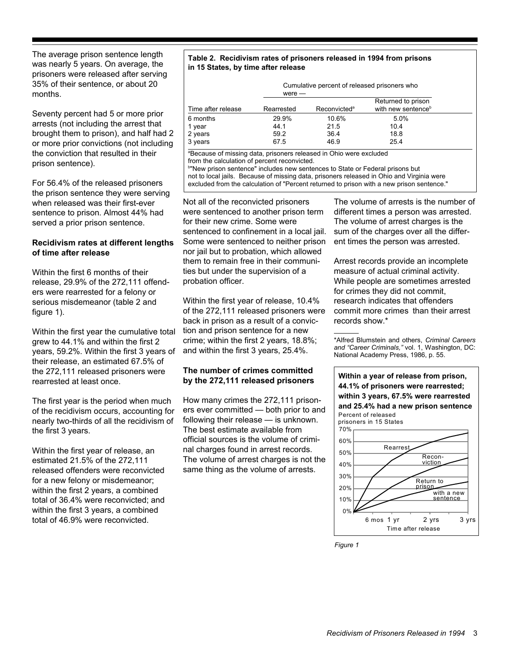The average prison sentence length was nearly 5 years. On average, the prisoners were released after serving 35% of their sentence, or about 20 months.

Seventy percent had 5 or more prior arrests (not including the arrest that brought them to prison), and half had 2 or more prior convictions (not including the conviction that resulted in their prison sentence).

For 56.4% of the released prisoners the prison sentence they were serving when released was their first-ever sentence to prison. Almost 44% had served a prior prison sentence.

#### **Recidivism rates at different lengths of time after release**

Within the first 6 months of their release, 29.9% of the 272,111 offenders were rearrested for a felony or serious misdemeanor (table 2 and figure 1).

Within the first year the cumulative total grew to 44.1% and within the first 2 years, 59.2%. Within the first 3 years of their release, an estimated 67.5% of the 272,111 released prisoners were rearrested at least once.

The first year is the period when much of the recidivism occurs, accounting for nearly two-thirds of all the recidivism of the first 3 years.

Within the first year of release, an estimated 21.5% of the 272,111 released offenders were reconvicted for a new felony or misdemeanor; within the first 2 years, a combined total of 36.4% were reconvicted; and within the first 3 years, a combined total of 46.9% were reconvicted.

#### **Table 2. Recidivism rates of prisoners released in 1994 from prisons in 15 States, by time after release**

Cumulative percent of released prisoners who were —

| Time after release | Rearrested | Reconvicted <sup>a</sup> | Returned to prison<br>with new sentence <sup>b</sup> |  |
|--------------------|------------|--------------------------|------------------------------------------------------|--|
| 6 months           | 29.9%      | 10.6%                    | $5.0\%$                                              |  |
| 1 year             | 44.1       | 21.5                     | 10.4                                                 |  |
| 2 years            | 59.2       | 36.4                     | 18.8                                                 |  |
| 3 years            | 67.5       | 46.9                     | 25.4                                                 |  |
|                    |            |                          |                                                      |  |

a Because of missing data, prisoners released in Ohio were excluded

from the calculation of percent reconvicted. b "New prison sentence" includes new sentences to State or Federal prisons but not to local jails. Because of missing data, prisoners released in Ohio and Virginia were excluded from the calculation of "Percent returned to prison with a new prison sentence."

Not all of the reconvicted prisoners were sentenced to another prison term for their new crime. Some were sentenced to confinement in a local jail. Some were sentenced to neither prison nor jail but to probation, which allowed them to remain free in their communities but under the supervision of a probation officer.

Within the first year of release, 10.4% of the 272,111 released prisoners were back in prison as a result of a conviction and prison sentence for a new crime; within the first 2 years, 18.8%; and within the first 3 years, 25.4%.

#### **The number of crimes committed by the 272,111 released prisoners**

How many crimes the 272,111 prisoners ever committed — both prior to and following their release — is unknown. The best estimate available from official sources is the volume of criminal charges found in arrest records. The volume of arrest charges is not the same thing as the volume of arrests.

The volume of arrests is the number of different times a person was arrested. The volume of arrest charges is the sum of the charges over all the different times the person was arrested.

Arrest records provide an incomplete measure of actual criminal activity. While people are sometimes arrested for crimes they did not commit, research indicates that offenders commit more crimes than their arrest records show.\*

\*Alfred Blumstein and others, *Criminal Careers and "Career Criminals,"* vol. 1, Washington, DC: National Academy Press, 1986, p. 55.



*Figure 1*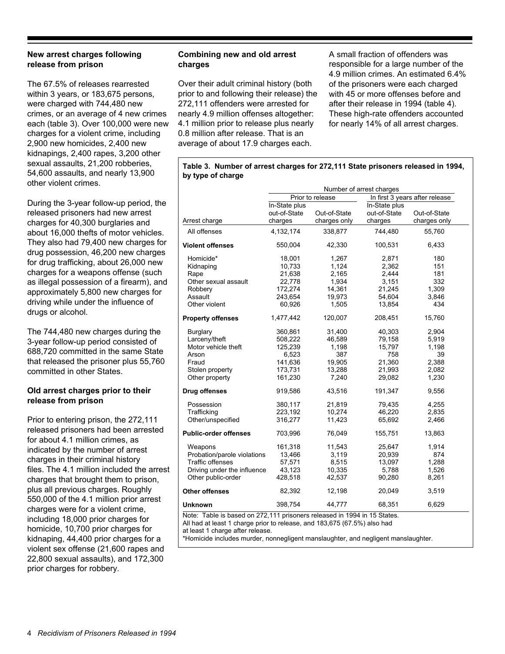#### **New arrest charges following release from prison**

The 67.5% of releases rearrested within 3 years, or 183,675 persons, were charged with 744,480 new crimes, or an average of 4 new crimes each (table 3). Over 100,000 were new charges for a violent crime, including 2,900 new homicides, 2,400 new kidnapings, 2,400 rapes, 3,200 other sexual assaults, 21,200 robberies, 54,600 assaults, and nearly 13,900 other violent crimes.

During the 3-year follow-up period, the released prisoners had new arrest charges for 40,300 burglaries and about 16,000 thefts of motor vehicles. They also had 79,400 new charges for drug possession, 46,200 new charges for drug trafficking, about 26,000 new charges for a weapons offense (such as illegal possession of a firearm), and approximately 5,800 new charges for driving while under the influence of drugs or alcohol.

The 744,480 new charges during the 3-year follow-up period consisted of 688,720 committed in the same State that released the prisoner plus 55,760 committed in other States.

#### **Old arrest charges prior to their release from prison**

Prior to entering prison, the 272,111 released prisoners had been arrested for about 4.1 million crimes, as indicated by the number of arrest charges in their criminal history files. The 4.1 million included the arrest charges that brought them to prison, plus all previous charges. Roughly 550,000 of the 4.1 million prior arrest charges were for a violent crime, including 18,000 prior charges for homicide, 10,700 prior charges for kidnaping, 44,400 prior charges for a violent sex offense (21,600 rapes and 22,800 sexual assaults), and 172,300 prior charges for robbery.

#### **Combining new and old arrest charges**

Over their adult criminal history (both prior to and following their release) the 272,111 offenders were arrested for nearly 4.9 million offenses altogether: 4.1 million prior to release plus nearly 0.8 million after release. That is an average of about 17.9 charges each.

A small fraction of offenders was responsible for a large number of the 4.9 million crimes. An estimated 6.4% of the prisoners were each charged with 45 or more offenses before and after their release in 1994 (table 4). These high-rate offenders accounted for nearly 14% of all arrest charges.

#### **Table 3. Number of arrest charges for 272,111 State prisoners released in 1994, by type of charge**

|                              | Number of arrest charges |              |                                |              |  |  |
|------------------------------|--------------------------|--------------|--------------------------------|--------------|--|--|
|                              | Prior to release         |              | In first 3 years after release |              |  |  |
|                              | In-State plus            |              | In-State plus                  |              |  |  |
|                              | out-of-State             | Out-of-State | out-of-State                   | Out-of-State |  |  |
| Arrest charge                | charges                  | charges only | charges                        | charges only |  |  |
| All offenses                 | 4,132,174                | 338,877      | 744,480                        | 55,760       |  |  |
| <b>Violent offenses</b>      | 550,004                  | 42,330       | 100,531                        | 6,433        |  |  |
| Homicide*                    | 18,001                   | 1,267        | 2,871                          | 180          |  |  |
| Kidnaping                    | 10,733                   | 1,124        | 2,362                          | 151          |  |  |
| Rape                         | 21,638                   | 2,165        | 2,444                          | 181          |  |  |
| Other sexual assault         | 22,778                   | 1,934        | 3,151                          | 332          |  |  |
| Robbery                      | 172,274                  | 14,361       | 21,245                         | 1,309        |  |  |
| Assault                      | 243,654                  | 19,973       | 54,604                         | 3,846        |  |  |
| Other violent                | 60,926                   | 1,505        | 13,854                         | 434          |  |  |
| <b>Property offenses</b>     | 1,477,442                | 120,007      | 208,451                        | 15,760       |  |  |
| Burglary                     | 360,861                  | 31,400       | 40,303                         | 2,904        |  |  |
| Larceny/theft                | 508,222                  | 46,589       | 79,158                         | 5,919        |  |  |
| Motor vehicle theft          | 125,239                  | 1,198        | 15,797                         | 1,198        |  |  |
| Arson                        | 6,523                    | 387          | 758                            | 39           |  |  |
| Fraud                        | 141,636                  | 19,905       | 21,360                         | 2,388        |  |  |
| Stolen property              | 173,731                  | 13,288       | 21,993                         | 2,082        |  |  |
| Other property               | 161,230                  | 7,240        | 29,082                         | 1,230        |  |  |
| Drug offenses                | 919,586                  | 43,516       | 191,347                        | 9,556        |  |  |
| Possession                   | 380,117                  | 21,819       | 79,435                         | 4,255        |  |  |
| Trafficking                  | 223,192                  | 10,274       | 46,220                         | 2,835        |  |  |
| Other/unspecified            | 316,277                  | 11,423       | 65,692                         | 2,466        |  |  |
| <b>Public-order offenses</b> | 703,996                  | 76,049       | 155,751                        | 13,863       |  |  |
| Weapons                      | 161,318                  | 11,543       | 25,647                         | 1,914        |  |  |
| Probation/parole violations  | 13,466                   | 3,119        | 20,939                         | 874          |  |  |
| <b>Traffic offenses</b>      | 57,571                   | 8,515        | 13,097                         | 1,288        |  |  |
| Driving under the influence  | 43,123                   | 10,335       | 5,788                          | 1,526        |  |  |
| Other public-order           | 428,518                  | 42,537       | 90,280                         | 8,261        |  |  |
| <b>Other offenses</b>        | 82,392                   | 12,198       | 20,049                         | 3,519        |  |  |
| <b>Unknown</b>               | 398,754                  | 44,777       | 68,351                         | 6,629        |  |  |

Note: Table is based on 272,111 prisoners released in 1994 in 15 States.

All had at least 1 charge prior to release, and 183,675 (67.5%) also had

at least 1 charge after release.

\*Homicide includes murder, nonnegligent manslaughter, and negligent manslaughter.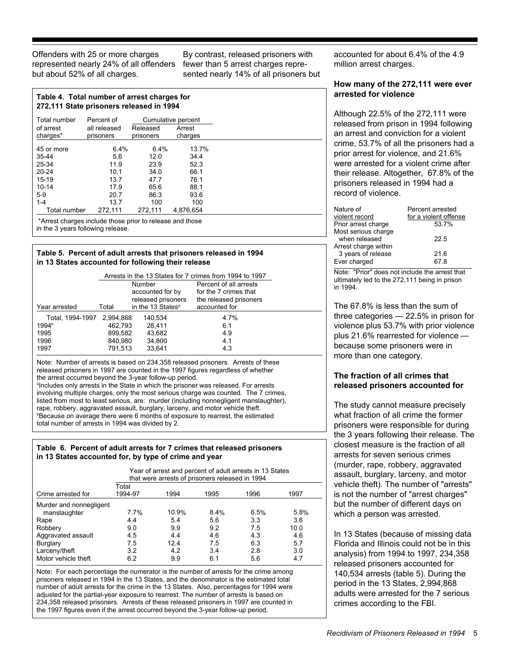Offenders with 25 or more charges represented nearly 24% of all offenders but about 52% of all charges.

By contrast, released prisoners with fewer than 5 arrest charges represented nearly 14% of all prisoners but

accounted for about 6.4% of the 4.9 million arrest charges.

#### **How many of the 272,111 were ever arrested for violence**

Although 22.5% of the 272,111 were released from prison in 1994 following an arrest and conviction for a violent crime, 53.7% of all the prisoners had a prior arrest for violence, and 21.6% were arrested for a violent crime after their release. Altogether, 67.8% of the prisoners released in 1994 had a record of violence.

| Nature of            | Percent arrested      |
|----------------------|-----------------------|
| violent record       | for a violent offense |
| Prior arrest charge  | 53.7%                 |
| Most serious charge  |                       |
| when released        | 22.5                  |
| Arrest charge within |                       |
| 3 years of release   | 21.6                  |
| Ever charged         | 67.8                  |
|                      |                       |

Note: "Prior" does not include the arrest that ultimately led to the 272,111 being in prison in 1994.

The 67.8% is less than the sum of three categories — 22.5% in prison for violence plus 53.7% with prior violence plus 21.6% rearrested for violence because some prisoners were in more than one category.

#### **The fraction of all crimes that released prisoners accounted for**

The study cannot measure precisely what fraction of all crime the former prisoners were responsible for during the 3 years following their release. The closest measure is the fraction of all arrests for seven serious crimes (murder, rape, robbery, aggravated assault, burglary, larceny, and motor vehicle theft). The number of "arrests" is not the number of "arrest charges" but the number of different days on which a person was arrested.

In 13 States (because of missing data Florida and Illinois could not be in this analysis) from 1994 to 1997, 234,358 released prisoners accounted for 140,534 arrests (table 5). During the period in the 13 States, 2,994,868 adults were arrested for the 7 serious crimes according to the FBI.

| Table 4. Total number of arrest charges for |
|---------------------------------------------|
| 272,111 State prisoners released in 1994    |

| Total number                                             | Percent of   | Cumulative percent |           |  |  |
|----------------------------------------------------------|--------------|--------------------|-----------|--|--|
| of arrest                                                | all released | Released           | Arrest    |  |  |
| charges*                                                 | prisoners    | prisoners          | charges   |  |  |
| 45 or more                                               | 6.4%         | 6.4%               | 13.7%     |  |  |
| $35 - 44$                                                | 5.6          | 12.0               | 34.4      |  |  |
| 25-34                                                    | 11.9         | 23.9               | 52.3      |  |  |
| $20 - 24$                                                | 10.1         | 34.0               | 66.1      |  |  |
| $15-19$                                                  | 13.7         | 47.7               | 76.1      |  |  |
| $10 - 14$                                                | 17.9         | 65.6               | 88.1      |  |  |
| $5-9$                                                    | 20.7         | 86.3               | 93.6      |  |  |
| $1 - 4$                                                  | 13.7         | 100                | 100       |  |  |
| Total number                                             | 272,111      | 272,111            | 4.876.654 |  |  |
| *Arrest charges include those prior to release and those |              |                    |           |  |  |

in the 3 years following release.

#### **Table 5. Percent of adult arrests that prisoners released in 1994 in 13 States accounted for following their release**

|                   |           | Arrests in the 13 States for 7 crimes from 1994 to 1997 |                        |  |  |
|-------------------|-----------|---------------------------------------------------------|------------------------|--|--|
|                   |           | Number                                                  | Percent of all arrests |  |  |
|                   |           | accounted for by                                        | for the 7 crimes that  |  |  |
|                   |           | released prisoners                                      | the released prisoners |  |  |
| Year arrested     | Total     | in the 13 States <sup>a</sup>                           | accounted for          |  |  |
| Total. 1994-1997  | 2.994.868 | 140.534                                                 | 4.7%                   |  |  |
| 1994 <sup>b</sup> | 462.793   | 28.411                                                  | 6.1                    |  |  |
| 1995              | 899.582   | 43.682                                                  | 4.9                    |  |  |
| 1996              | 840.980   | 34,800                                                  | 4.1                    |  |  |
| 1997              | 791.513   | 33.641                                                  | 4.3                    |  |  |

Note: Number of arrests is based on 234,358 released prisoners. Arrests of these released prisoners in 1997 are counted in the 1997 figures regardless of whether the arrest occurred beyond the 3-year follow-up period.

alncludes only arrests in the State in which the prisoner was released. For arrests involving multiple charges, only the most serious charge was counted. The 7 crimes, listed from most to least serious, are: murder (including nonnegligent manslaughter), rape, robbery, aggravated assault, burglary, larceny, and motor vehicle theft. b Because on average there were 6 months of exposure to rearrest, the estimated total number of arrests in 1994 was divided by 2.

#### **Table 6. Percent of adult arrests for 7 crimes that released prisoners in 13 States accounted for, by type of crime and year**

|                         | Year of arrest and percent of adult arrests in 13 States<br>that were arrests of prisoners released in 1994 |       |      |      |      |  |
|-------------------------|-------------------------------------------------------------------------------------------------------------|-------|------|------|------|--|
|                         | Total                                                                                                       |       |      |      |      |  |
| Crime arrested for      | 1994-97                                                                                                     | 1994  | 1995 | 1996 | 1997 |  |
| Murder and nonnegligent |                                                                                                             |       |      |      |      |  |
| manslaughter            | 7.7%                                                                                                        | 10.9% | 8.4% | 6.5% | 5.8% |  |
| Rape                    | 4.4                                                                                                         | 5.4   | 5.6  | 3.3  | 3.6  |  |
| Robbery                 | 9.0                                                                                                         | 9.9   | 9.2  | 7.5  | 10.0 |  |
| Aggravated assault      | 4.5                                                                                                         | 4.4   | 4.6  | 4.3  | 4.6  |  |
| Burglary                | 7.5                                                                                                         | 124   | 7.5  | 6.3  | 5.7  |  |
| Larceny/theft           | 3.2                                                                                                         | 4.2   | 3.4  | 2.8  | 3.0  |  |
| Motor vehicle theft     | 6.2                                                                                                         | 9.9   | 6.1  | 5.6  | 4.7  |  |

Note: For each percentage the numerator is the number of arrests for the crime among prisoners released in 1994 in the 13 States, and the denominator is the estimated total number of adult arrests for the crime in the 13 States. Also, percentages for 1994 were adjusted for the partial-year exposure to rearrest. The number of arrests is based on 234,358 released prisoners. Arrests of these released prisoners in 1997 are counted in the 1997 figures even if the arrest occurred beyond the 3-year follow-up period.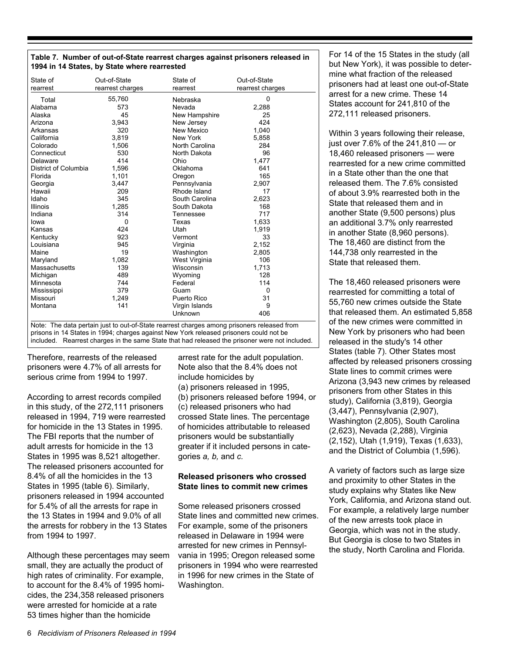|  |                                              | Table 7. Number of out-of-State rearrest charges against prisoners released in |  |
|--|----------------------------------------------|--------------------------------------------------------------------------------|--|
|  | 1994 in 14 States, by State where rearrested |                                                                                |  |

| State of<br>rearrest | Out-of-State<br>rearrest charges | State of<br>rearrest | Out-of-State<br>rearrest charges |
|----------------------|----------------------------------|----------------------|----------------------------------|
| Total                | 55,760                           | Nebraska             | 0                                |
| Alabama              | 573                              | Nevada               | 2,288                            |
| Alaska               | 45                               | New Hampshire        | 25                               |
| Arizona              | 3,943                            | New Jersey           | 424                              |
| Arkansas             | 320                              | New Mexico           | 1,040                            |
| California           | 3,819                            | New York             | 5,858                            |
| Colorado             | 1,506                            | North Carolina       | 284                              |
| Connecticut          | 530                              | North Dakota         | 96                               |
| Delaware             | 414                              | Ohio                 | 1,477                            |
| District of Columbia | 1,596                            | Oklahoma             | 641                              |
| Florida              | 1,101                            | Oregon               | 165                              |
| Georgia              | 3.447                            | Pennsylvania         | 2,907                            |
| Hawaii               | 209                              | Rhode Island         | 17                               |
| Idaho                | 345                              | South Carolina       | 2,623                            |
| Illinois             | 1,285                            | South Dakota         | 168                              |
| Indiana              | 314                              | Tennessee            | 717                              |
| lowa                 | 0                                | Texas                | 1,633                            |
| Kansas               | 424                              | Utah                 | 1,919                            |
| Kentucky             | 923                              | Vermont              | 33                               |
| Louisiana            | 945                              | Virginia             | 2,152                            |
| Maine                | 19                               | Washington           | 2,805                            |
| Maryland             | 1,082                            | West Virginia        | 106                              |
| Massachusetts        | 139                              | Wisconsin            | 1,713                            |
| Michigan             | 489                              | Wyoming              | 128                              |
| Minnesota            | 744                              | Federal              | 114                              |
| Mississippi          | 379                              | Guam                 | 0                                |
| Missouri             | 1,249                            | Puerto Rico          | 31                               |
| Montana              | 141                              | Virgin Islands       | 9                                |
|                      |                                  | Unknown              | 406                              |

Note: The data pertain just to out-of-State rearrest charges among prisoners released from prisons in 14 States in 1994; charges against New York released prisoners could not be included. Rearrest charges in the same State that had released the prisoner were not included.

Therefore, rearrests of the released prisoners were 4.7% of all arrests for serious crime from 1994 to 1997.

According to arrest records compiled in this study, of the 272,111 prisoners released in 1994, 719 were rearrested for homicide in the 13 States in 1995. The FBI reports that the number of adult arrests for homicide in the 13 States in 1995 was 8,521 altogether. The released prisoners accounted for 8.4% of all the homicides in the 13 States in 1995 (table 6). Similarly, prisoners released in 1994 accounted for 5.4% of all the arrests for rape in the 13 States in 1994 and 9.0% of all the arrests for robbery in the 13 States from 1994 to 1997.

Although these percentages may seem small, they are actually the product of high rates of criminality. For example, to account for the 8.4% of 1995 homicides, the 234,358 released prisoners were arrested for homicide at a rate 53 times higher than the homicide

arrest rate for the adult population. Note also that the 8.4% does not include homicides by (a) prisoners released in 1995, (b) prisoners released before 1994, or (c) released prisoners who had crossed State lines. The percentage of homicides attributable to released prisoners would be substantially greater if it included persons in categories *a, b,* and *c.*

#### **Released prisoners who crossed State lines to commit new crimes**

Some released prisoners crossed State lines and committed new crimes. For example, some of the prisoners released in Delaware in 1994 were arrested for new crimes in Pennsylvania in 1995; Oregon released some prisoners in 1994 who were rearrested in 1996 for new crimes in the State of Washington.

For 14 of the 15 States in the study (all but New York), it was possible to determine what fraction of the released prisoners had at least one out-of-State arrest for a new crime. These 14 States account for 241,810 of the 272,111 released prisoners.

Within 3 years following their release, just over 7.6% of the 241,810 — or 18,460 released prisoners — were rearrested for a new crime committed in a State other than the one that released them. The 7.6% consisted of about 3.9% rearrested both in the State that released them and in another State (9,500 persons) plus an additional 3.7% only rearrested in another State (8,960 persons). The 18,460 are distinct from the 144,738 only rearrested in the State that released them.

The 18,460 released prisoners were rearrested for committing a total of 55,760 new crimes outside the State that released them. An estimated 5,858 of the new crimes were committed in New York by prisoners who had been released in the study's 14 other States (table 7). Other States most affected by released prisoners crossing State lines to commit crimes were Arizona (3,943 new crimes by released prisoners from other States in this study), California (3,819), Georgia (3,447), Pennsylvania (2,907), Washington (2,805), South Carolina (2,623), Nevada (2,288), Virginia (2,152), Utah (1,919), Texas (1,633), and the District of Columbia (1,596).

A variety of factors such as large size and proximity to other States in the study explains why States like New York, California, and Arizona stand out. For example, a relatively large number of the new arrests took place in Georgia, which was not in the study. But Georgia is close to two States in the study, North Carolina and Florida.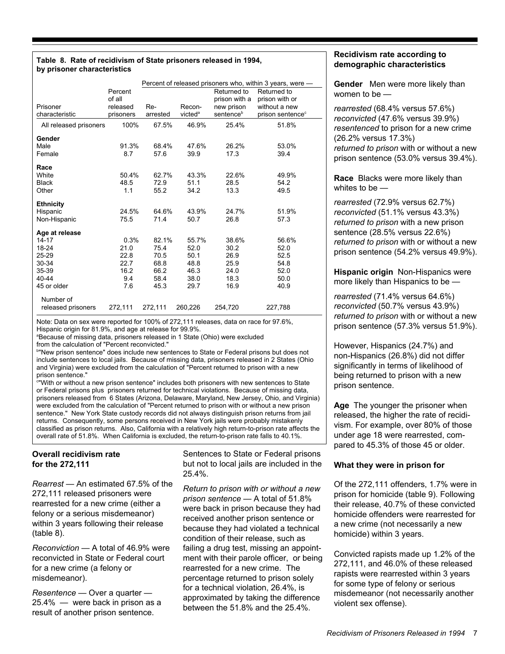#### **Table 8. Rate of recidivism of State prisoners released in 1994, by prisoner characteristics**

|                        |           | Percent of released prisoners who, within 3 years, were - |                     |                       |                              |  |
|------------------------|-----------|-----------------------------------------------------------|---------------------|-----------------------|------------------------------|--|
|                        | Percent   |                                                           |                     | Returned to           | Returned to                  |  |
|                        | of all    |                                                           |                     | prison with a         | prison with or               |  |
| Prisoner               | released  | Re-                                                       | Recon-              | new prison            | without a new                |  |
| characteristic         | prisoners | arrested                                                  | victed <sup>a</sup> | sentence <sup>b</sup> | prison sentence <sup>c</sup> |  |
| All released prisoners | 100%      | 67.5%                                                     | 46.9%               | 25.4%                 | 51.8%                        |  |
| Gender                 |           |                                                           |                     |                       |                              |  |
| Male                   | 91.3%     | 68.4%                                                     | 47.6%               | 26.2%                 | 53.0%                        |  |
| Female                 | 8.7       | 57.6                                                      | 39.9                | 17.3                  | 39.4                         |  |
| Race                   |           |                                                           |                     |                       |                              |  |
| White                  | 50.4%     | 62.7%                                                     | 43.3%               | 22.6%                 | 49.9%                        |  |
| <b>Black</b>           | 48.5      | 72.9                                                      | 51.1                | 28.5                  | 54.2                         |  |
| Other                  | 1.1       | 55.2                                                      | 34.2                | 13.3                  | 49.5                         |  |
|                        |           |                                                           |                     |                       |                              |  |
| <b>Ethnicity</b>       |           |                                                           |                     |                       |                              |  |
| Hispanic               | 24.5%     | 64.6%                                                     | 43.9%               | 24.7%                 | 51.9%                        |  |
| Non-Hispanic           | 75.5      | 71.4                                                      | 50.7                | 26.8                  | 57.3                         |  |
| Age at release         |           |                                                           |                     |                       |                              |  |
| 14-17                  | 0.3%      | 82.1%                                                     | 55.7%               | 38.6%                 | 56.6%                        |  |
| 18-24                  | 21.0      | 75.4                                                      | 52.0                | 30.2                  | 52.0                         |  |
| 25-29                  | 22.8      | 70.5                                                      | 50.1                | 26.9                  | 52.5                         |  |
| 30-34                  | 22.7      | 68.8                                                      | 48.8                | 25.9                  | 54.8                         |  |
| 35-39                  | 16.2      | 66.2                                                      | 46.3                | 24.0                  | 52.0                         |  |
| 40-44                  | 9.4       | 58.4                                                      | 38.0                | 18.3                  | 50.0                         |  |
| 45 or older            | 7.6       | 45.3                                                      | 29.7                | 16.9                  | 40.9                         |  |
| Number of              |           |                                                           |                     |                       |                              |  |
| released prisoners     | 272,111   | 272,111                                                   | 260,226             | 254,720               | 227,788                      |  |

Note: Data on sex were reported for 100% of 272,111 releases, data on race for 97.6%, Hispanic origin for 81.9%, and age at release for 99.9%.

a Because of missing data, prisoners released in 1 State (Ohio) were excluded

from the calculation of "Percent reconvicted."

b "New prison sentence" does include new sentences to State or Federal prisons but does not include sentences to local jails. Because of missing data, prisoners released in 2 States (Ohio and Virginia) were excluded from the calculation of "Percent returned to prison with a new prison sentence."

c "With or without a new prison sentence" includes both prisoners with new sentences to State or Federal prisons plus prisoners returned for technical violations. Because of missing data, prisoners released from 6 States (Arizona, Delaware, Maryland, New Jersey, Ohio, and Virginia) were excluded from the calculation of "Percent returned to prison with or without a new prison sentence." New York State custody records did not always distinguish prison returns from jail returns. Consequently, some persons received in New York jails were probably mistakenly classified as prison returns. Also, California with a relatively high return-to-prison rate affects the overall rate of 51.8%. When California is excluded, the return-to-prison rate falls to 40.1%.

#### **Overall recidivism rate for the 272,111**

*Rearrest* — An estimated 67.5% of the 272,111 released prisoners were rearrested for a new crime (either a felony or a serious misdemeanor) within 3 years following their release (table 8).

*Reconviction* — A total of 46.9% were reconvicted in State or Federal court for a new crime (a felony or misdemeanor).

*Resentence* — Over a quarter — 25.4% — were back in prison as a result of another prison sentence.

Sentences to State or Federal prisons but not to local jails are included in the 25.4%.

*Return to prison with or without a new prison sentence* — A total of 51.8% were back in prison because they had received another prison sentence or because they had violated a technical condition of their release, such as failing a drug test, missing an appointment with their parole officer, or being rearrested for a new crime. The percentage returned to prison solely for a technical violation, 26.4%, is approximated by taking the difference between the 51.8% and the 25.4%.

#### **Recidivism rate according to demographic characteristics**

**Gender** Men were more likely than women to be —

*rearrested* (68.4% versus 57.6%) *reconvicted* (47.6% versus 39.9%) *resentenced* to prison for a new crime (26.2% versus 17.3%) *returned to prison* with or without a new prison sentence (53.0% versus 39.4%).

**Race** Blacks were more likely than whites to be —

*rearrested* (72.9% versus 62.7%) *reconvicted* (51.1% versus 43.3%) *returned to prison* with a new prison sentence (28.5% versus 22.6%) *returned to prison* with or without a new prison sentence (54.2% versus 49.9%).

**Hispanic origin** Non-Hispanics were more likely than Hispanics to be —

*rearrested* (71.4% versus 64.6%) *reconvicted* (50.7% versus 43.9%) *returned to prison* with or without a new prison sentence (57.3% versus 51.9%).

However, Hispanics (24.7%) and non-Hispanics (26.8%) did not differ significantly in terms of likelihood of being returned to prison with a new prison sentence.

**Age** The younger the prisoner when released, the higher the rate of recidivism. For example, over 80% of those under age 18 were rearrested, compared to 45.3% of those 45 or older.

#### **What they were in prison for**

Of the 272,111 offenders, 1.7% were in prison for homicide (table 9). Following their release, 40.7% of these convicted homicide offenders were rearrested for a new crime (not necessarily a new homicide) within 3 years.

Convicted rapists made up 1.2% of the 272,111, and 46.0% of these released rapists were rearrested within 3 years for some type of felony or serious misdemeanor (not necessarily another violent sex offense).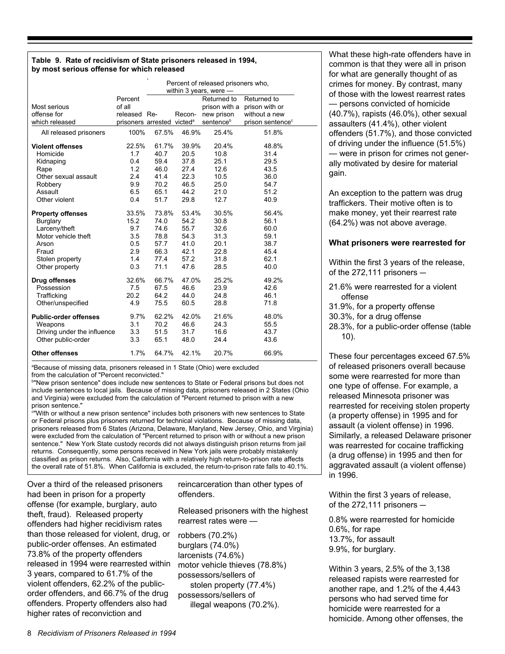#### **Table 9. Rate of recidivism of State prisoners released in 1994, by most serious offense for which released**

|                                                   | Percent of released prisoners who,<br>within 3 years, were $-$ |               |               |                              |                               |  |
|---------------------------------------------------|----------------------------------------------------------------|---------------|---------------|------------------------------|-------------------------------|--|
| Most serious                                      | Percent<br>of all                                              |               |               | Returned to<br>prison with a | Returned to<br>prison with or |  |
| offense for                                       | released Re-                                                   |               | Recon-        | new prison                   | without a new                 |  |
| which released                                    | prisoners arrested victed <sup>a</sup>                         |               |               | sentence <sup>b</sup>        | prison sentence <sup>c</sup>  |  |
| All released prisoners                            | 100%                                                           | 67.5%         | 46.9%         | 25.4%                        | 51.8%                         |  |
| <b>Violent offenses</b>                           | 22.5%                                                          | 61.7%         | 39.9%         | 20.4%                        | 48.8%                         |  |
| Homicide                                          | 1.7                                                            | 40.7          | 20.5          | 10.8                         | 31.4                          |  |
| Kidnaping                                         | 0.4                                                            | 59.4          | 37.8          | 25.1                         | 29.5                          |  |
| Rape                                              | 1.2                                                            | 46.0          | 27.4          | 12.6                         | 43.5                          |  |
| Other sexual assault                              | 2.4                                                            | 41.4          | 22.3          | 10.5                         | 36.0                          |  |
| Robbery                                           | 9.9                                                            | 70.2          | 46.5          | 25.0                         | 54.7                          |  |
| Assault                                           | 6.5                                                            | 65.1          | 44.2          | 21.0                         | 51.2                          |  |
| Other violent                                     | 0.4                                                            | 51.7          | 29.8          | 12.7                         | 40.9                          |  |
| <b>Property offenses</b>                          | 33.5%                                                          | 73.8%         | 53.4%         | 30.5%                        | 56.4%                         |  |
| <b>Burglary</b>                                   | 15.2                                                           | 74.0          | 54.2          | 30.8                         | 56.1                          |  |
| Larceny/theft                                     | 9.7                                                            | 74.6          | 55.7          | 32.6                         | 60.0                          |  |
| Motor vehicle theft                               | 3.5                                                            | 78.8          | 54.3          | 31.3                         | 59.1                          |  |
| Arson                                             | 0.5                                                            | 57.7          | 41.0          | 20.1                         | 38.7                          |  |
| Fraud                                             | 2.9                                                            | 66.3          | 42.1          | 22.8                         | 45.4                          |  |
| Stolen property                                   | 1.4                                                            | 77.4          | 57.2          | 31.8                         | 62.1                          |  |
| Other property                                    | 0.3                                                            | 71.1          | 47.6          | 28.5                         | 40.0                          |  |
| Drug offenses                                     | 32.6%                                                          | 66.7%         | 47.0%         | 25.2%                        | 49.2%                         |  |
| Possession                                        | 7.5                                                            | 67.5          | 46.6          | 23.9                         | 42.6                          |  |
| Trafficking                                       | 20.2                                                           | 64.2          | 44.0          | 24.8                         | 46.1                          |  |
| Other/unspecified                                 | 4.9                                                            | 75.5          | 60.5          | 28.8                         | 71.8                          |  |
| <b>Public-order offenses</b><br>Weapons           | 9.7%<br>3.1                                                    | 62.2%<br>70.2 | 42.0%<br>46.6 | 21.6%<br>24.3                | 48.0%<br>55.5                 |  |
| Driving under the influence<br>Other public-order | 3.3<br>3.3                                                     | 51.5<br>65.1  | 31.7<br>48.0  | 16.6<br>24.4                 | 43.7<br>43.6                  |  |
| <b>Other offenses</b>                             | 1.7%                                                           | 64.7%         | 42.1%         | 20.7%                        | 66.9%                         |  |

a Because of missing data, prisoners released in 1 State (Ohio) were excluded from the calculation of "Percent reconvicted."

b "New prison sentence" does include new sentences to State or Federal prisons but does not include sentences to local jails. Because of missing data, prisoners released in 2 States (Ohio and Virginia) were excluded from the calculation of "Percent returned to prison with a new prison sentence."

c "With or without a new prison sentence" includes both prisoners with new sentences to State or Federal prisons plus prisoners returned for technical violations. Because of missing data, prisoners released from 6 States (Arizona, Delaware, Maryland, New Jersey, Ohio, and Virginia) were excluded from the calculation of "Percent returned to prison with or without a new prison sentence." New York State custody records did not always distinguish prison returns from jail returns. Consequently, some persons received in New York jails were probably mistakenly classified as prison returns. Also, California with a relatively high return-to-prison rate affects the overall rate of 51.8%. When California is excluded, the return-to-prison rate falls to 40.1%.

Over a third of the released prisoners had been in prison for a property offense (for example, burglary, auto theft, fraud). Released property offenders had higher recidivism rates than those released for violent, drug, or public-order offenses. An estimated 73.8% of the property offenders released in 1994 were rearrested within 3 years, compared to 61.7% of the violent offenders, 62.2% of the publicorder offenders, and 66.7% of the drug offenders. Property offenders also had higher rates of reconviction and

reincarceration than other types of offenders.

Released prisoners with the highest rearrest rates were —

robbers (70.2%) burglars (74.0%) larcenists (74.6%) motor vehicle thieves (78.8%) possessors/sellers of stolen property (77.4%) possessors/sellers of illegal weapons (70.2%).

What these high-rate offenders have in common is that they were all in prison for what are generally thought of as crimes for money. By contrast, many of those with the lowest rearrest rates — persons convicted of homicide (40.7%), rapists (46.0%), other sexual assaulters (41.4%), other violent offenders (51.7%), and those convicted of driving under the influence (51.5%) — were in prison for crimes not generally motivated by desire for material gain.

An exception to the pattern was drug traffickers. Their motive often is to make money, yet their rearrest rate (64.2%) was not above average.

#### **What prisoners were rearrested for**

Within the first 3 years of the release, of the  $272,111$  prisoners  $-$ 

- 21.6% were rearrested for a violent offense
- 31.9%, for a property offense
- 30.3%, for a drug offense
- 28.3%, for a public-order offense (table 10).

These four percentages exceed 67.5% of released prisoners overall because some were rearrested for more than one type of offense. For example, a released Minnesota prisoner was rearrested for receiving stolen property (a property offense) in 1995 and for assault (a violent offense) in 1996. Similarly, a released Delaware prisoner was rearrested for cocaine trafficking (a drug offense) in 1995 and then for aggravated assault (a violent offense) in 1996.

Within the first 3 years of release, of the  $272,111$  prisoners  $-$ 

0.8% were rearrested for homicide 0.6%, for rape 13.7%, for assault 9.9%, for burglary.

Within 3 years, 2.5% of the 3,138 released rapists were rearrested for another rape, and 1.2% of the 4,443 persons who had served time for homicide were rearrested for a homicide. Among other offenses, the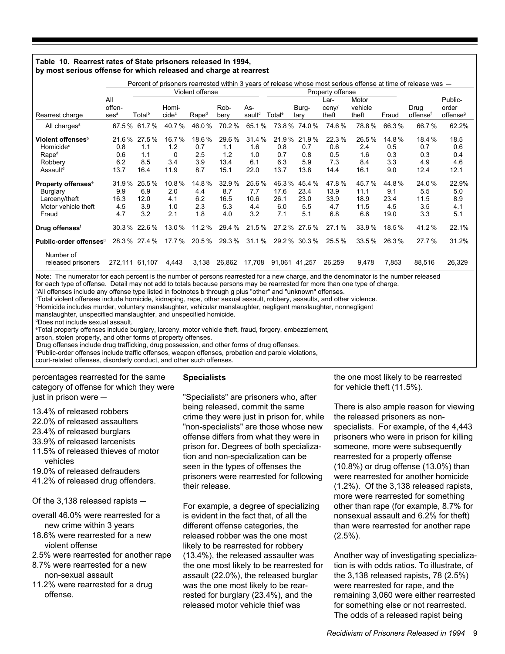#### **Table 10. Rearrest rates of State prisoners released in 1994, by most serious offense for which released and charge at rearrest**

|                                                                                                                |                                    |                                    |                                         |                                   |                                     | Percent of prisoners rearrested within 3 years of release whose most serious offense at time of release was - |                                     |                                      |                                     |                                      |                                     |                                     |                                          |
|----------------------------------------------------------------------------------------------------------------|------------------------------------|------------------------------------|-----------------------------------------|-----------------------------------|-------------------------------------|---------------------------------------------------------------------------------------------------------------|-------------------------------------|--------------------------------------|-------------------------------------|--------------------------------------|-------------------------------------|-------------------------------------|------------------------------------------|
|                                                                                                                |                                    | Violent offense                    |                                         |                                   |                                     |                                                                                                               |                                     | Property offense                     |                                     |                                      |                                     |                                     |                                          |
| Rearrest charge                                                                                                | All<br>offen-<br>ses <sup>a</sup>  | Total <sup>b</sup>                 | Homi-<br>cide <sup>c</sup>              | Rape <sup>d</sup>                 | Rob-<br>bery                        | As-<br>sault <sup>d</sup>                                                                                     | Total <sup>e</sup>                  | Burg-<br>lary                        | Lar-<br>ceny/<br>theft              | Motor<br>vehicle<br>theft            | Fraud                               | Drug<br>offensef                    | Public-<br>order<br>offense <sup>9</sup> |
| All charges <sup>a</sup>                                                                                       |                                    | 67.5 % 61.7 %                      | 40.7%                                   | 46.0%                             | 70.2%                               | 65.1%                                                                                                         |                                     | 73.8 % 74.0 %                        | 74.6%                               | 78.8%                                | 66.3%                               | 66.7%                               | 62.2%                                    |
| Violent offenses <sup>b</sup><br>Homicide <sup>c</sup><br>Rape <sup>d</sup><br>Robbery<br>Assault <sup>d</sup> | 21.6%<br>0.8<br>0.6<br>6.2<br>13.7 | 27.5%<br>1.1<br>1.1<br>8.5<br>16.4 | 16.7%<br>1.2<br>$\Omega$<br>3.4<br>11.9 | 18.6%<br>0.7<br>2.5<br>3.9<br>8.7 | 29.6%<br>1.1<br>1.2<br>13.4<br>15.1 | 31.4 %<br>1.6<br>1.0<br>6.1<br>22.0                                                                           | 21.9%<br>0.8<br>0.7<br>6.3<br>13.7  | 21.9%<br>0.7<br>0.8<br>5.9<br>13.8   | 22.3%<br>0.6<br>0.5<br>7.3<br>14.4  | 26.5%<br>2.4<br>1.6<br>8.4<br>16.1   | 14.8%<br>0.5<br>0.3<br>3.3<br>9.0   | 18.4 %<br>0.7<br>0.3<br>4.9<br>12.4 | 18.5<br>0.6<br>0.4<br>4.6<br>12.1        |
| <b>Property offenses<sup>e</sup></b><br><b>Burglary</b><br>Larceny/theft<br>Motor vehicle theft<br>Fraud       | 31.9%<br>9.9<br>16.3<br>4.5<br>4.7 | 25.5%<br>6.9<br>12.0<br>3.9<br>3.2 | 10.8%<br>2.0<br>4.1<br>1.0<br>2.1       | 14.8%<br>4.4<br>6.2<br>2.3<br>1.8 | 32.9%<br>8.7<br>16.5<br>5.3<br>4.0  | 25.6%<br>7.7<br>10.6<br>4.4<br>3.2                                                                            | 46.3%<br>17.6<br>26.1<br>6.0<br>7.1 | 45.4 %<br>23.4<br>23.0<br>5.5<br>5.1 | 47.8%<br>13.9<br>33.9<br>4.7<br>6.8 | 45.7%<br>11.1<br>18.9<br>11.5<br>6.6 | 44.8%<br>9.1<br>23.4<br>4.5<br>19.0 | 24.0%<br>5.5<br>11.5<br>3.5<br>3.3  | 22.9%<br>5.0<br>8.9<br>4.1<br>5.1        |
| Drug offenses <sup>f</sup>                                                                                     |                                    | $30.3\%$ 22.6 %                    | 13.0%                                   | 11.2 %                            | 29.4 %                              | 21.5%                                                                                                         |                                     | 27.2 % 27.6 %                        | 27.1%                               | 33.9%                                | 18.5%                               | 41.2%                               | 22.1%                                    |
| Public-order offenses <sup>9</sup>                                                                             |                                    | 28.3 % 27.4 %                      | 17.7 %                                  | 20.5%                             | 29.3%                               | 31.1%                                                                                                         |                                     | 29.2 % 30.3 %                        | 25.5%                               | 33.5%                                | 26.3%                               | 27.7%                               | 31.2%                                    |
| Number of<br>released prisoners                                                                                |                                    | 272,111 61,107                     | 4,443                                   | 3,138                             | 26,862                              | 17,708                                                                                                        | 91,061                              | 41.257                               | 26,259                              | 9,478                                | 7,853                               | 88,516                              | 26,329                                   |

Note: The numerator for each percent is the number of persons rearrested for a new charge, and the denominator is the number released for each type of offense. Detail may not add to totals because persons may be rearrested for more than one type of charge.

a All offenses include any offense type listed in footnotes b through g plus "other" and "unknown" offenses.

b Total violent offenses include homicide, kidnaping, rape, other sexual assault, robbery, assaults, and other violence.

c Homicide includes murder, voluntary manslaughter, vehicular manslaughter, negligent manslaughter, nonnegligent

manslaughter, unspecified manslaughter, and unspecified homicide.

d Does not include sexual assault.

e Total property offenses include burglary, larceny, motor vehicle theft, fraud, forgery, embezzlement,

arson, stolen property, and other forms of property offenses.

f Drug offenses include drug trafficking, drug possession, and other forms of drug offenses.

g Public-order offenses include traffic offenses, weapon offenses, probation and parole violations,

court-related offenses, disorderly conduct, and other such offenses.

percentages rearrested for the same category of offense for which they were just in prison were  $-$ 

13.4% of released robbers

- 22.0% of released assaulters
- 23.4% of released burglars
- 33.9% of released larcenists
- 11.5% of released thieves of motor
- vehicles
- 19.0% of released defrauders
- 41.2% of released drug offenders.

Of the  $3.138$  released rapists  $-$ 

- overall 46.0% were rearrested for a new crime within 3 years
- 18.6% were rearrested for a new violent offense
- 2.5% were rearrested for another rape
- 8.7% were rearrested for a new non-sexual assault
- 11.2% were rearrested for a drug offense.

#### **Specialists**

"Specialists" are prisoners who, after being released, commit the same crime they were just in prison for, while "non-specialists" are those whose new offense differs from what they were in prison for. Degrees of both specialization and non-specialization can be seen in the types of offenses the prisoners were rearrested for following their release.

For example, a degree of specializing is evident in the fact that, of all the different offense categories, the released robber was the one most likely to be rearrested for robbery (13.4%), the released assaulter was the one most likely to be rearrested for assault (22.0%), the released burglar was the one most likely to be rearrested for burglary (23.4%), and the released motor vehicle thief was

the one most likely to be rearrested for vehicle theft (11.5%).

There is also ample reason for viewing the released prisoners as nonspecialists. For example, of the 4,443 prisoners who were in prison for killing someone, more were subsequently rearrested for a property offense (10.8%) or drug offense (13.0%) than were rearrested for another homicide (1.2%). Of the 3,138 released rapists, more were rearrested for something other than rape (for example, 8.7% for nonsexual assault and 6.2% for theft) than were rearrested for another rape  $(2.5\%)$ .

Another way of investigating specialization is with odds ratios. To illustrate, of the 3,138 released rapists, 78 (2.5%) were rearrested for rape, and the remaining 3,060 were either rearrested for something else or not rearrested. The odds of a released rapist being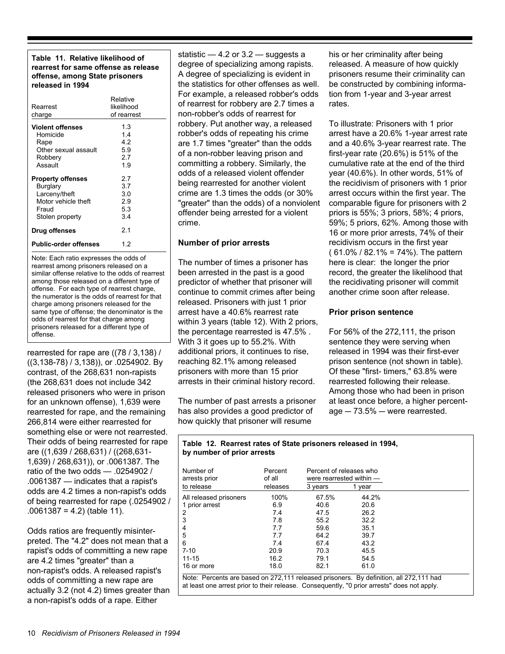#### **Table 11. Relative likelihood of rearrest for same offense as release offense, among State prisoners released in 1994**

| Rearrest<br>charge                                                                                       | Relative<br>likelihood<br>of rearrest |
|----------------------------------------------------------------------------------------------------------|---------------------------------------|
| <b>Violent offenses</b><br>Homicide<br>Rape<br>Other sexual assault<br>Robbery<br>Assault                | 13<br>14<br>42<br>5.9<br>27<br>19     |
| <b>Property offenses</b><br>Burglary<br>Larceny/theft<br>Motor vehicle theft<br>Fraud<br>Stolen property | 2.7<br>37<br>30<br>29<br>53<br>3.4    |
| Drug offenses                                                                                            | 2.1                                   |
| <b>Public-order offenses</b>                                                                             | 12                                    |

Note: Each ratio expresses the odds of rearrest among prisoners released on a similar offense relative to the odds of rearrest among those released on a different type of offense. For each type of rearrest charge, the numerator is the odds of rearrest for that charge among prisoners released for the same type of offense; the denominator is the odds of rearrest for that charge among prisoners released for a different type of offense.

rearrested for rape are ((78 / 3,138) / ((3,138-78) / 3,138)), or .0254902. By contrast, of the 268,631 non-rapists (the 268,631 does not include 342 released prisoners who were in prison for an unknown offense), 1,639 were rearrested for rape, and the remaining 266,814 were either rearrested for something else or were not rearrested. Their odds of being rearrested for rape are ((1,639 / 268,631) / ((268,631- 1,639) / 268,631)), or .0061387. The ratio of the two odds — .0254902 / .0061387 — indicates that a rapist's odds are 4.2 times a non-rapist's odds of being rearrested for rape (.0254902 / .0061387 = 4.2) (table 11).

Odds ratios are frequently misinterpreted. The "4.2" does not mean that a rapist's odds of committing a new rape are 4.2 times "greater" than a non-rapist's odds. A released rapist's odds of committing a new rape are actually 3.2 (not 4.2) times greater than a non-rapist's odds of a rape. Either

statistic  $-4.2$  or  $3.2 -$  suggests a degree of specializing among rapists. A degree of specializing is evident in the statistics for other offenses as well. For example, a released robber's odds of rearrest for robbery are 2.7 times a non-robber's odds of rearrest for robbery. Put another way, a released robber's odds of repeating his crime are 1.7 times "greater" than the odds of a non-robber leaving prison and committing a robbery. Similarly, the odds of a released violent offender being rearrested for another violent crime are 1.3 times the odds (or 30% "greater" than the odds) of a nonviolent offender being arrested for a violent crime.

#### **Number of prior arrests**

The number of times a prisoner has been arrested in the past is a good predictor of whether that prisoner will continue to commit crimes after being released. Prisoners with just 1 prior arrest have a 40.6% rearrest rate within 3 years (table 12). With 2 priors, the percentage rearrested is 47.5% . With 3 it goes up to 55.2%. With additional priors, it continues to rise, reaching 82.1% among released prisoners with more than 15 prior arrests in their criminal history record.

The number of past arrests a prisoner has also provides a good predictor of how quickly that prisoner will resume

his or her criminality after being released. A measure of how quickly prisoners resume their criminality can be constructed by combining information from 1-year and 3-year arrest rates.

To illustrate: Prisoners with 1 prior arrest have a 20.6% 1-year arrest rate and a 40.6% 3-year rearrest rate. The first-year rate (20.6%) is 51% of the cumulative rate at the end of the third year (40.6%). In other words, 51% of the recidivism of prisoners with 1 prior arrest occurs within the first year. The comparable figure for prisoners with 2 priors is 55%; 3 priors, 58%; 4 priors, 59%; 5 priors, 62%. Among those with 16 or more prior arrests, 74% of their recidivism occurs in the first year  $(61.0\% / 82.1\% = 74\%).$  The pattern here is clear: the longer the prior record, the greater the likelihood that the recidivating prisoner will commit another crime soon after release.

#### **Prior prison sentence**

For 56% of the 272,111, the prison sentence they were serving when released in 1994 was their first-ever prison sentence (not shown in table). Of these "first- timers," 63.8% were rearrested following their release. Among those who had been in prison at least once before, a higher percent $a$ ge  $-73.5%$   $-$  were rearrested.

#### **Table 12. Rearrest rates of State prisoners released in 1994, by number of prior arrests**

| Number of<br>arrests prior | Percent<br>of all | Percent of releases who<br>were rearrested within $-$ |       |  |
|----------------------------|-------------------|-------------------------------------------------------|-------|--|
| to release                 | releases          | 3 years                                               | vear  |  |
| All released prisoners     | 100%              | 67.5%                                                 | 44.2% |  |
| 1 prior arrest             | 6.9               | 40.6                                                  | 20.6  |  |
| $\overline{2}$             | 7.4               | 47.5                                                  | 26.2  |  |
| 3                          | 7.8               | 55.2                                                  | 32.2  |  |
| 4                          | 7.7               | 59.6                                                  | 35.1  |  |
| 5                          | 7.7               | 64.2                                                  | 39.7  |  |
| 6                          | 7.4               | 67.4                                                  | 43.2  |  |
| $7 - 10$                   | 20.9              | 70.3                                                  | 45.5  |  |
| $11 - 15$                  | 16.2              | 79.1                                                  | 54.5  |  |
| 16 or more                 | 18.0              | 82.1                                                  | 61.0  |  |

Note: Percents are based on 272,111 released prisoners. By definition, all 272,111 had at least one arrest prior to their release. Consequently, "0 prior arrests" does not apply.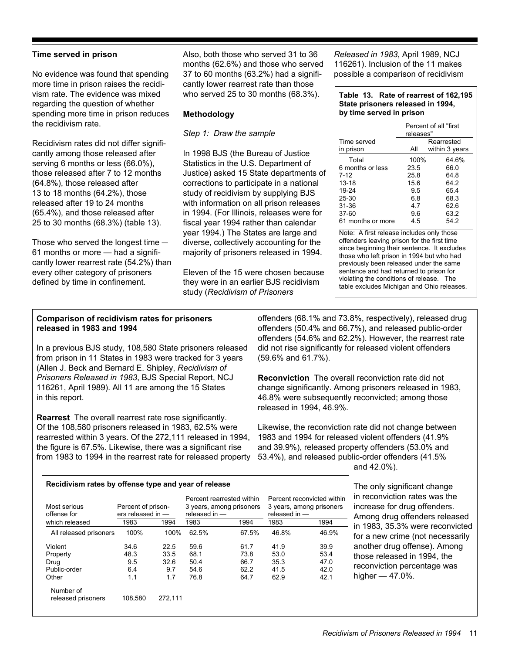#### **Time served in prison**

No evidence was found that spending more time in prison raises the recidivism rate. The evidence was mixed regarding the question of whether spending more time in prison reduces the recidivism rate.

Recidivism rates did not differ significantly among those released after serving 6 months or less (66.0%), those released after 7 to 12 months (64.8%), those released after 13 to 18 months (64.2%), those released after 19 to 24 months (65.4%), and those released after 25 to 30 months (68.3%) (table 13).

Those who served the longest time  $-$ 61 months or more — had a significantly lower rearrest rate (54.2%) than every other category of prisoners defined by time in confinement.

Also, both those who served 31 to 36 months (62.6%) and those who served 37 to 60 months (63.2%) had a significantly lower rearrest rate than those who served 25 to 30 months (68.3%).

#### **Methodology**

*Step 1: Draw the sample*

In 1998 BJS (the Bureau of Justice Statistics in the U.S. Department of Justice) asked 15 State departments of corrections to participate in a national study of recidivism by supplying BJS with information on all prison releases in 1994. (For Illinois, releases were for fiscal year 1994 rather than calendar year 1994.) The States are large and diverse, collectively accounting for the majority of prisoners released in 1994.

Eleven of the 15 were chosen because they were in an earlier BJS recidivism study (*Recidivism of Prisoners*

*Released in 1983*, April 1989, NCJ 116261). Inclusion of the 11 makes possible a comparison of recidivism

#### **Table 13. Rate of rearrest of 162,195 State prisoners released in 1994, by time served in prison**

|                   | Percent of all "first<br>releases" |                |  |  |  |
|-------------------|------------------------------------|----------------|--|--|--|
| Time served       |                                    | Rearrested     |  |  |  |
| in prison         | All                                | within 3 years |  |  |  |
| Total             | 100%                               | 64.6%          |  |  |  |
| 6 months or less  | 23.5                               | 66.0           |  |  |  |
| 7-12              | 25.8                               | 64.8           |  |  |  |
| $13 - 18$         | 15.6                               | 64.2           |  |  |  |
| 19-24             | 9.5                                | 65.4           |  |  |  |
| $25 - 30$         | 6.8                                | 68.3           |  |  |  |
| $31 - 36$         | 4.7                                | 62.6           |  |  |  |
| 37-60             | 9.6                                | 63.2           |  |  |  |
| 61 months or more | 4.5                                | 54.2           |  |  |  |

Note: A first release includes only those offenders leaving prison for the first time since beginning their sentence. It excludes those who left prison in 1994 but who had previously been released under the same sentence and had returned to prison for violating the conditions of release. The table excludes Michigan and Ohio releases.

#### **Comparison of recidivism rates for prisoners released in 1983 and 1994**

In a previous BJS study, 108,580 State prisoners released from prison in 11 States in 1983 were tracked for 3 years (Allen J. Beck and Bernard E. Shipley, *Recidivism of Prisoners Released in 1983*, BJS Special Report, NCJ 116261, April 1989). All 11 are among the 15 States in this report.

**Rearrest** The overall rearrest rate rose significantly. Of the 108,580 prisoners released in 1983, 62.5% were rearrested within 3 years. Of the 272,111 released in 1994, the figure is 67.5%. Likewise, there was a significant rise from 1983 to 1994 in the rearrest rate for released property

offenders (68.1% and 73.8%, respectively), released drug offenders (50.4% and 66.7%), and released public-order offenders (54.6% and 62.2%). However, the rearrest rate did not rise significantly for released violent offenders (59.6% and 61.7%).

**Reconviction** The overall reconviction rate did not change significantly. Among prisoners released in 1983, 46.8% were subsequently reconvicted; among those released in 1994, 46.9%.

Likewise, the reconviction rate did not change between 1983 and 1994 for released violent offenders (41.9% and 39.9%), released property offenders (53.0% and 53.4%), and released public-order offenders (41.5% and 42.0%).

#### **Recidivism rates by offense type and year of release**

| Most serious<br>offense for     | Percent of prison-<br>ers released in - |         | Percent rearrested within<br>3 years, among prisoners<br>released in - |       | released in - | Percent reconvicted within<br>3 years, among prisoners |
|---------------------------------|-----------------------------------------|---------|------------------------------------------------------------------------|-------|---------------|--------------------------------------------------------|
| which released                  | 1983                                    | 1994    | 1983                                                                   | 1994  | 1983          | 1994                                                   |
| All released prisoners          | 100%                                    | 100%    | 62.5%                                                                  | 67.5% | 46.8%         | 46.9%                                                  |
| Violent                         | 34.6                                    | 22.5    | 59.6                                                                   | 61.7  | 41.9          | 39.9                                                   |
| Property                        | 48.3                                    | 33.5    | 68.1                                                                   | 73.8  | 53.0          | 53.4                                                   |
| Drug                            | 9.5                                     | 32.6    | 50.4                                                                   | 66.7  | 35.3          | 47.0                                                   |
| Public-order                    | 6.4                                     | 9.7     | 54.6                                                                   | 62.2  | 41.5          | 42.0                                                   |
| Other                           | 1.1                                     | 1.7     | 76.8                                                                   | 64.7  | 62.9          | 42.1                                                   |
| Number of<br>released prisoners | 108.580                                 | 272,111 |                                                                        |       |               |                                                        |

The only significant change in reconviction rates was the increase for drug offenders. Among drug offenders released in 1983, 35.3% were reconvicted for a new crime (not necessarily another drug offense). Among those released in 1994, the reconviction percentage was higher — 47.0%.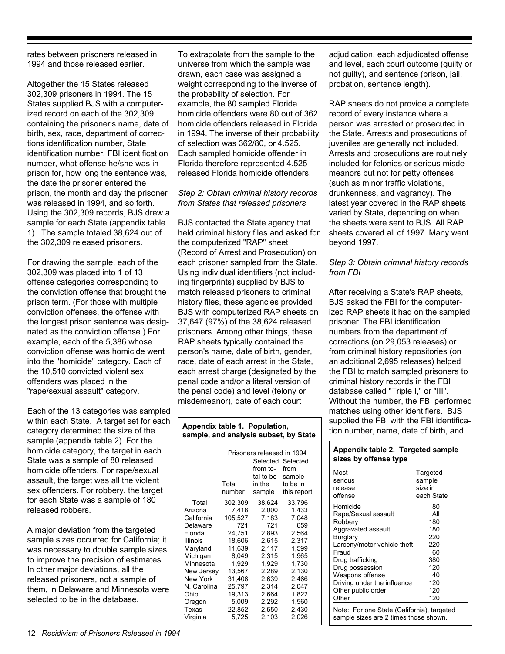rates between prisoners released in 1994 and those released earlier.

Altogether the 15 States released 302,309 prisoners in 1994. The 15 States supplied BJS with a computerized record on each of the 302,309 containing the prisoner's name, date of birth, sex, race, department of corrections identification number, State identification number, FBI identification number, what offense he/she was in prison for, how long the sentence was, the date the prisoner entered the prison, the month and day the prisoner was released in 1994, and so forth. Using the 302,309 records, BJS drew a sample for each State (appendix table 1). The sample totaled 38,624 out of the 302,309 released prisoners.

For drawing the sample, each of the 302,309 was placed into 1 of 13 offense categories corresponding to the conviction offense that brought the prison term. (For those with multiple conviction offenses, the offense with the longest prison sentence was designated as the conviction offense.) For example, each of the 5,386 whose conviction offense was homicide went into the "homicide" category. Each of the 10,510 convicted violent sex offenders was placed in the "rape/sexual assault" category.

Each of the 13 categories was sampled within each State. A target set for each category determined the size of the sample (appendix table 2). For the homicide category, the target in each State was a sample of 80 released homicide offenders. For rape/sexual assault, the target was all the violent sex offenders. For robbery, the target for each State was a sample of 180 released robbers.

A major deviation from the targeted sample sizes occurred for California; it was necessary to double sample sizes to improve the precision of estimates. In other major deviations, all the released prisoners, not a sample of them, in Delaware and Minnesota were selected to be in the database.

To extrapolate from the sample to the universe from which the sample was drawn, each case was assigned a weight corresponding to the inverse of the probability of selection. For example, the 80 sampled Florida homicide offenders were 80 out of 362 homicide offenders released in Florida in 1994. The inverse of their probability of selection was 362/80, or 4.525. Each sampled homicide offender in Florida therefore represented 4.525 released Florida homicide offenders.

*Step 2: Obtain criminal history records from States that released prisoners*

BJS contacted the State agency that held criminal history files and asked for the computerized "RAP" sheet (Record of Arrest and Prosecution) on each prisoner sampled from the State. Using individual identifiers (not including fingerprints) supplied by BJS to match released prisoners to criminal history files, these agencies provided BJS with computerized RAP sheets on 37,647 (97%) of the 38,624 released prisoners. Among other things, these RAP sheets typically contained the person's name, date of birth, gender, race, date of each arrest in the State, each arrest charge (designated by the penal code and/or a literal version of the penal code) and level (felony or misdemeanor), date of each court

#### **Appendix table 1. Population, sample, and analysis subset, by State**

|             | Prisoners released in 1994 |           |             |  |  |  |
|-------------|----------------------------|-----------|-------------|--|--|--|
|             |                            | Selected  | Selected    |  |  |  |
|             |                            | from to-  | from        |  |  |  |
|             |                            | tal to be | sample      |  |  |  |
|             | Total                      | in the    | to be in    |  |  |  |
|             | number                     | sample    | this report |  |  |  |
| Total       | 302,309                    | 38,624    | 33,796      |  |  |  |
| Arizona     | 7.418                      | 2,000     | 1,433       |  |  |  |
| California  | 105,527                    | 7,183     | 7,048       |  |  |  |
| Delaware    | 721                        | 721       | 659         |  |  |  |
| Florida     | 24,751                     | 2,893     | 2,564       |  |  |  |
| Illinois    | 18,606                     | 2,615     | 2,317       |  |  |  |
| Maryland    | 11.639                     | 2.117     | 1.599       |  |  |  |
| Michigan    | 8,049                      | 2,315     | 1,965       |  |  |  |
| Minnesota   | 1,929                      | 1,929     | 1,730       |  |  |  |
| New Jersey  | 13,567                     | 2,289     | 2,130       |  |  |  |
| New York    | 31,406                     | 2,639     | 2,466       |  |  |  |
| N. Carolina | 25,797                     | 2.314     | 2.047       |  |  |  |
| Ohio        | 19,313                     | 2,664     | 1,822       |  |  |  |
| Oregon      | 5,009                      | 2,292     | 1,560       |  |  |  |
| Texas       | 22,852                     | 2,550     | 2,430       |  |  |  |
| Virginia    | 5,725                      | 2,103     | 2,026       |  |  |  |

adjudication, each adjudicated offense and level, each court outcome (guilty or not guilty), and sentence (prison, jail, probation, sentence length).

RAP sheets do not provide a complete record of every instance where a person was arrested or prosecuted in the State. Arrests and prosecutions of juveniles are generally not included. Arrests and prosecutions are routinely included for felonies or serious misdemeanors but not for petty offenses (such as minor traffic violations, drunkenness, and vagrancy). The latest year covered in the RAP sheets varied by State, depending on when the sheets were sent to BJS. All RAP sheets covered all of 1997. Many went beyond 1997.

#### *Step 3: Obtain criminal history records from FBI*

After receiving a State's RAP sheets, BJS asked the FBI for the computerized RAP sheets it had on the sampled prisoner. The FBI identification numbers from the department of corrections (on 29,053 releases) or from criminal history repositories (on an additional 2,695 releases) helped the FBI to match sampled prisoners to criminal history records in the FBI database called "Triple I," or "III". Without the number, the FBI performed matches using other identifiers. BJS supplied the FBI with the FBI identification number, name, date of birth, and

#### **Appendix table 2. Targeted sample sizes by offense type**

| Homicide<br>80<br>All<br>Rape/Sexual assault<br>180<br>Robbery<br>180<br>Aggravated assault<br>220<br>Burglary<br>220<br>Larceny/motor vehicle theft<br>Fraud<br>60<br>380<br>Drug trafficking<br>120<br>Drug possession<br>Weapons offense<br>40<br>Driving under the influence<br>120 | Most<br>serious<br>release<br>offense | Targeted<br>sample<br>size in<br>each State |
|-----------------------------------------------------------------------------------------------------------------------------------------------------------------------------------------------------------------------------------------------------------------------------------------|---------------------------------------|---------------------------------------------|
| 120<br>Other                                                                                                                                                                                                                                                                            | Other public order                    | 120                                         |

Note: For one State (California), targeted sample sizes are 2 times those shown.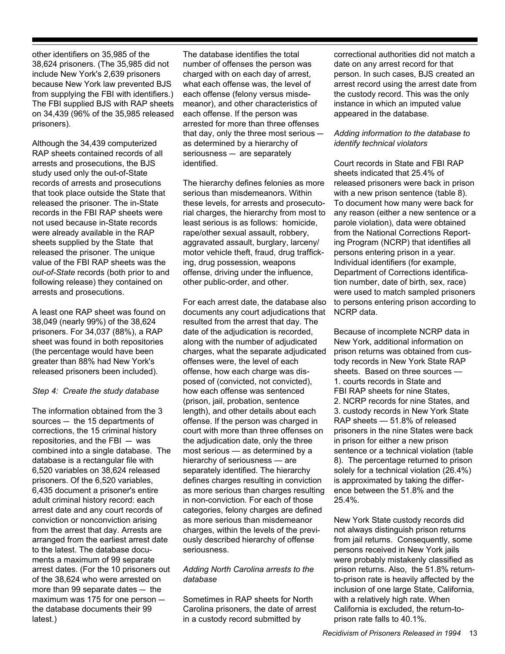other identifiers on 35,985 of the 38,624 prisoners. (The 35,985 did not include New York's 2,639 prisoners because New York law prevented BJS from supplying the FBI with identifiers.) The FBI supplied BJS with RAP sheets on 34,439 (96% of the 35,985 released prisoners).

Although the 34,439 computerized RAP sheets contained records of all arrests and prosecutions, the BJS study used only the out-of-State records of arrests and prosecutions that took place outside the State that released the prisoner. The in-State records in the FBI RAP sheets were not used because in-State records were already available in the RAP sheets supplied by the State that released the prisoner. The unique value of the FBI RAP sheets was the *out-of-State* records (both prior to and following release) they contained on arrests and prosecutions.

A least one RAP sheet was found on 38,049 (nearly 99%) of the 38,624 prisoners. For 34,037 (88%), a RAP sheet was found in both repositories (the percentage would have been greater than 88% had New York's released prisoners been included).

#### *Step 4: Create the study database*

The information obtained from the 3 sources  $-$  the 15 departments of corrections, the 15 criminal history repositories, and the FBI  $-$  was combined into a single database. The database is a rectangular file with 6,520 variables on 38,624 released prisoners. Of the 6,520 variables, 6,435 document a prisoner's entire adult criminal history record: each arrest date and any court records of conviction or nonconviction arising from the arrest that day. Arrests are arranged from the earliest arrest date to the latest. The database documents a maximum of 99 separate arrest dates. (For the 10 prisoners out of the 38,624 who were arrested on more than 99 separate dates  $-$  the maximum was 175 for one person  $$ the database documents their 99 latest.)

The database identifies the total number of offenses the person was charged with on each day of arrest, what each offense was, the level of each offense (felony versus misdemeanor), and other characteristics of each offense. If the person was arrested for more than three offenses that day, only the three most serious  $$ as determined by a hierarchy of  $s$ eriousness  $-$  are separately identified.

The hierarchy defines felonies as more serious than misdemeanors. Within these levels, for arrests and prosecutorial charges, the hierarchy from most to least serious is as follows: homicide, rape/other sexual assault, robbery, aggravated assault, burglary, larceny/ motor vehicle theft, fraud, drug trafficking, drug possession, weapons offense, driving under the influence, other public-order, and other.

For each arrest date, the database also documents any court adjudications that resulted from the arrest that day. The date of the adjudication is recorded, along with the number of adjudicated charges, what the separate adjudicated offenses were, the level of each offense, how each charge was disposed of (convicted, not convicted), how each offense was sentenced (prison, jail, probation, sentence length), and other details about each offense. If the person was charged in court with more than three offenses on the adjudication date, only the three most serious — as determined by a hierarchy of seriousness — are separately identified. The hierarchy defines charges resulting in conviction as more serious than charges resulting in non-conviction. For each of those categories, felony charges are defined as more serious than misdemeanor charges, within the levels of the previously described hierarchy of offense seriousness.

#### *Adding North Carolina arrests to the database*

Sometimes in RAP sheets for North Carolina prisoners, the date of arrest in a custody record submitted by

correctional authorities did not match a date on any arrest record for that person. In such cases, BJS created an arrest record using the arrest date from the custody record. This was the only instance in which an imputed value appeared in the database.

#### *Adding information to the database to identify technical violators*

Court records in State and FBI RAP sheets indicated that 25.4% of released prisoners were back in prison with a new prison sentence (table 8). To document how many were back for any reason (either a new sentence or a parole violation), data were obtained from the National Corrections Reporting Program (NCRP) that identifies all persons entering prison in a year. Individual identifiers (for example, Department of Corrections identification number, date of birth, sex, race) were used to match sampled prisoners to persons entering prison according to NCRP data.

Because of incomplete NCRP data in New York, additional information on prison returns was obtained from custody records in New York State RAP sheets. Based on three sources — 1. courts records in State and FBI RAP sheets for nine States. 2. NCRP records for nine States, and 3. custody records in New York State RAP sheets — 51.8% of released prisoners in the nine States were back in prison for either a new prison sentence or a technical violation (table 8). The percentage returned to prison solely for a technical violation (26.4%) is approximated by taking the difference between the 51.8% and the 25.4%.

New York State custody records did not always distinguish prison returns from jail returns. Consequently, some persons received in New York jails were probably mistakenly classified as prison returns. Also, the 51.8% returnto-prison rate is heavily affected by the inclusion of one large State, California, with a relatively high rate. When California is excluded, the return-toprison rate falls to 40.1%.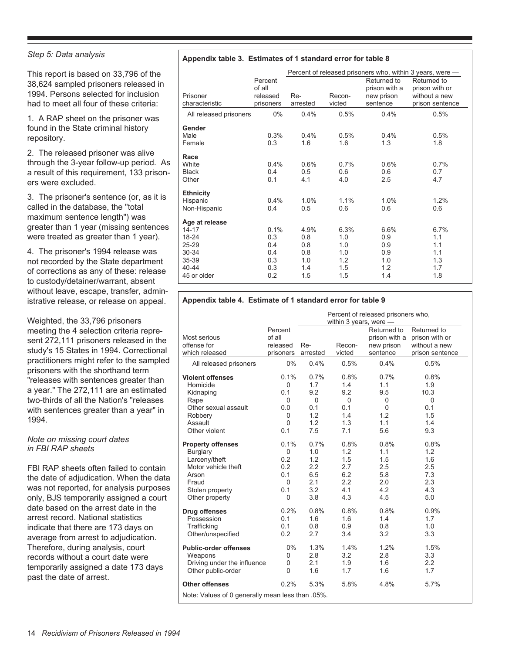#### *Step 5: Data analysis*

This report is based on 33,796 of the 38,624 sampled prisoners released in 1994. Persons selected for inclusion had to meet all four of these criteria:

1. A RAP sheet on the prisoner was found in the State criminal history repository.

2. The released prisoner was alive through the 3-year follow-up period. As a result of this requirement, 133 prisoners were excluded.

3. The prisoner's sentence (or, as it is called in the database, the "total maximum sentence length") was greater than 1 year (missing sentences were treated as greater than 1 year).

4. The prisoner's 1994 release was not recorded by the State department of corrections as any of these: release to custody/detainer/warrant, absent without leave, escape, transfer, administrative release, or release on appeal.

Weighted, the 33,796 prisoners meeting the 4 selection criteria represent 272,111 prisoners released in the study's 15 States in 1994. Correctional practitioners might refer to the sampled prisoners with the shorthand term "releases with sentences greater than a year." The 272,111 are an estimated two-thirds of all the Nation's "releases with sentences greater than a year" in 1994.

#### *Note on missing court dates in FBI RAP sheets*

FBI RAP sheets often failed to contain the date of adjudication. When the data was not reported, for analysis purposes only, BJS temporarily assigned a court date based on the arrest date in the arrest record. National statistics indicate that there are 173 days on average from arrest to adjudication. Therefore, during analysis, court records without a court date were temporarily assigned a date 173 days past the date of arrest.

#### **Appendix table 3. Estimates of 1 standard error for table 8**

|                        |           | Percent of released prisoners who, within 3 years, were — |        |               |                 |  |  |
|------------------------|-----------|-----------------------------------------------------------|--------|---------------|-----------------|--|--|
|                        | Percent   |                                                           |        | Returned to   | Returned to     |  |  |
|                        | of all    |                                                           |        | prison with a | prison with or  |  |  |
| Prisoner               | released  | Re-                                                       | Recon- | new prison    | without a new   |  |  |
| characteristic         | prisoners | arrested                                                  | victed | sentence      | prison sentence |  |  |
| All released prisoners | $0\%$     | 0.4%                                                      | 0.5%   | 0.4%          | 0.5%            |  |  |
| Gender                 |           |                                                           |        |               |                 |  |  |
| Male                   | 0.3%      | 0.4%                                                      | 0.5%   | 0.4%          | 0.5%            |  |  |
| Female                 | 0.3       | 1.6                                                       | 1.6    | 1.3           | 1.8             |  |  |
| Race                   |           |                                                           |        |               |                 |  |  |
| White                  | 0.4%      | 0.6%                                                      | 0.7%   | 0.6%          | 0.7%            |  |  |
| <b>Black</b>           | 0.4       | 0.5                                                       | 0.6    | 0.6           | 0.7             |  |  |
| Other                  | 0.1       | 4.1                                                       | 4.0    | 2.5           | 4.7             |  |  |
| <b>Ethnicity</b>       |           |                                                           |        |               |                 |  |  |
| Hispanic               | 0.4%      | 1.0%                                                      | 1.1%   | 1.0%          | 1.2%            |  |  |
| Non-Hispanic           | 0.4       | 0.5                                                       | 0.6    | 0.6           | 0.6             |  |  |
| Age at release         |           |                                                           |        |               |                 |  |  |
| 14-17                  | 0.1%      | 4.9%                                                      | 6.3%   | 6.6%          | 6.7%            |  |  |
| 18-24                  | 0.3       | 0.8                                                       | 1.0    | 0.9           | 1.1             |  |  |
| 25-29                  | 0.4       | 0.8                                                       | 1.0    | 0.9           | 1.1             |  |  |
| 30-34                  | 0.4       | 0.8                                                       | 1.0    | 0.9           | 1.1             |  |  |
| 35-39                  | 0.3       | 1.0                                                       | 1.2    | 1.0           | 1.3             |  |  |
| 40-44                  | 0.3       | 1.4                                                       | 1.5    | 1.2           | 1.7             |  |  |
| 45 or older            | 0.2       | 1.5                                                       | 1.5    | 1.4           | 1.8             |  |  |

#### **Appendix table 4. Estimate of 1 standard error for table 9**

|                                                  | Percent of released prisoners who, |          |          |               |                 |  |
|--------------------------------------------------|------------------------------------|----------|----------|---------------|-----------------|--|
|                                                  | within 3 years, were -             |          |          |               |                 |  |
|                                                  | Percent                            |          |          | Returned to   | Returned to     |  |
| Most serious                                     | of all                             |          |          | prison with a | prison with or  |  |
| offense for                                      | released                           | Re-      | Recon-   | new prison    | without a new   |  |
| which released                                   | prisoners                          | arrested | victed   | sentence      | prison sentence |  |
| All released prisoners                           | 0%                                 | 0.4%     | 0.5%     | 0.4%          | 0.5%            |  |
| <b>Violent offenses</b>                          | 0.1%                               | 0.7%     | 0.8%     | 0.7%          | 0.8%            |  |
| Homicide                                         | $\mathbf 0$                        | 1.7      | 1.4      | 1.1           | 1.9             |  |
| Kidnaping                                        | 0.1                                | 9.2      | 9.2      | 9.5           | 10.3            |  |
| Rape                                             | $\Omega$                           | $\Omega$ | $\Omega$ | $\Omega$      | $\Omega$        |  |
| Other sexual assault                             | 0.0                                | 0.1      | 0.1      | 0             | 0.1             |  |
| Robbery                                          | 0                                  | 1.2      | 1.4      | 1.2           | 1.5             |  |
| Assault                                          | 0                                  | 1.2      | 1.3      | 1.1           | 1.4             |  |
| Other violent                                    | 0.1                                | 7.5      | 7.1      | 5.6           | 9.3             |  |
| <b>Property offenses</b>                         | 0.1%                               | 0.7%     | 0.8%     | 0.8%          | 0.8%            |  |
| Burglary                                         | 0                                  | 1.0      | 1.2      | 1.1           | 1.2             |  |
| Larceny/theft                                    | 0.2                                | 1.2      | 1.5      | 1.5           | 1.6             |  |
| Motor vehicle theft                              | 0.2                                | 2.2      | 2.7      | 2.5           | 2.5             |  |
| Arson                                            | 0.1                                | 6.5      | 6.2      | 5.8           | 7.3             |  |
| Fraud                                            | 0                                  | 2.1      | 2.2      | 2.0           | 2.3             |  |
| Stolen property                                  | 0.1                                | 3.2      | 4.1      | 4.2           | 4.3             |  |
| Other property                                   | 0                                  | 3.8      | 4.3      | 4.5           | 5.0             |  |
| <b>Drug offenses</b>                             | 0.2%                               | 0.8%     | 0.8%     | 0.8%          | 0.9%            |  |
| Possession                                       | 0.1                                | 1.6      | 1.6      | 1.4           | 1.7             |  |
| Trafficking                                      | 0.1                                | 0.8      | 0.9      | 0.8           | 1.0             |  |
| Other/unspecified                                | 0.2                                | 2.7      | 3.4      | 3.2           | 3.3             |  |
| <b>Public-order offenses</b>                     | 0%                                 | 1.3%     | 1.4%     | 1.2%          | 1.5%            |  |
| Weapons                                          | 0                                  | 2.8      | 3.2      | 2.8           | 3.3             |  |
| Driving under the influence                      | 0                                  | 2.1      | 1.9      | 1.6           | 2.2             |  |
| Other public-order                               | $\Omega$                           | 1.6      | 1.7      | 1.6           | 1.7             |  |
| <b>Other offenses</b>                            | 0.2%                               | 5.3%     | 5.8%     | 4.8%          | 5.7%            |  |
| Note: Values of 0 generally mean less than .05%. |                                    |          |          |               |                 |  |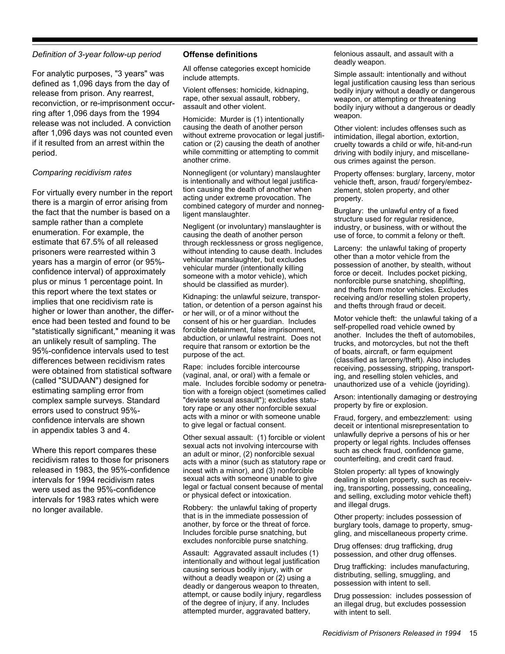#### *Definition of 3-year follow-up period*

For analytic purposes, "3 years" was defined as 1,096 days from the day of release from prison. Any rearrest, reconviction, or re-imprisonment occurring after 1,096 days from the 1994 release was not included. A conviction after 1,096 days was not counted even if it resulted from an arrest within the period.

#### *Comparing recidivism rates*

For virtually every number in the report there is a margin of error arising from the fact that the number is based on a sample rather than a complete enumeration. For example, the estimate that 67.5% of all released prisoners were rearrested within 3 years has a margin of error (or 95% confidence interval) of approximately plus or minus 1 percentage point. In this report where the text states or implies that one recidivism rate is higher or lower than another, the difference had been tested and found to be "statistically significant," meaning it was an unlikely result of sampling. The 95%-confidence intervals used to test differences between recidivism rates were obtained from statistical software (called "SUDAAN") designed for estimating sampling error from complex sample surveys. Standard errors used to construct 95% confidence intervals are shown in appendix tables 3 and 4.

Where this report compares these recidivism rates to those for prisoners released in 1983, the 95%-confidence intervals for 1994 recidivism rates were used as the 95%-confidence intervals for 1983 rates which were no longer available.

#### **Offense definitions**

All offense categories except homicide include attempts.

Violent offenses: homicide, kidnaping, rape, other sexual assault, robbery, assault and other violent.

Homicide: Murder is (1) intentionally causing the death of another person without extreme provocation or legal justification or (2) causing the death of another while committing or attempting to commit another crime.

Nonnegligent (or voluntary) manslaughter is intentionally and without legal justification causing the death of another when acting under extreme provocation. The combined category of murder and nonnegligent manslaughter.

Negligent (or involuntary) manslaughter is causing the death of another person through recklessness or gross negligence, without intending to cause death. Includes vehicular manslaughter, but excludes vehicular murder (intentionally killing someone with a motor vehicle), which should be classified as murder).

Kidnaping: the unlawful seizure, transportation, or detention of a person against his or her will, or of a minor without the consent of his or her guardian. Includes forcible detainment, false imprisonment, abduction, or unlawful restraint. Does not require that ransom or extortion be the purpose of the act.

Rape: includes forcible intercourse (vaginal, anal, or oral) with a female or male. Includes forcible sodomy or penetration with a foreign object (sometimes called "deviate sexual assault"); excludes statutory rape or any other nonforcible sexual acts with a minor or with someone unable to give legal or factual consent.

Other sexual assault: (1) forcible or violent sexual acts not involving intercourse with an adult or minor, (2) nonforcible sexual acts with a minor (such as statutory rape or incest with a minor), and (3) nonforcible sexual acts with someone unable to give legal or factual consent because of mental or physical defect or intoxication.

Robbery: the unlawful taking of property that is in the immediate possession of another, by force or the threat of force. Includes forcible purse snatching, but excludes nonforcible purse snatching.

Assault: Aggravated assault includes (1) intentionally and without legal justification causing serious bodily injury, with or without a deadly weapon or (2) using a deadly or dangerous weapon to threaten, attempt, or cause bodily injury, regardless of the degree of injury, if any. Includes attempted murder, aggravated battery,

felonious assault, and assault with a deadly weapon.

Simple assault: intentionally and without legal justification causing less than serious bodily injury without a deadly or dangerous weapon, or attempting or threatening bodily injury without a dangerous or deadly weapon.

Other violent: includes offenses such as intimidation, illegal abortion, extortion, cruelty towards a child or wife, hit-and-run driving with bodily injury, and miscellaneous crimes against the person.

Property offenses: burglary, larceny, motor vehicle theft, arson, fraud/ forgery/embezzlement, stolen property, and other property.

Burglary: the unlawful entry of a fixed structure used for regular residence, industry, or business, with or without the use of force, to commit a felony or theft.

Larceny: the unlawful taking of property other than a motor vehicle from the possession of another, by stealth, without force or deceit. Includes pocket picking, nonforcible purse snatching, shoplifting, and thefts from motor vehicles. Excludes receiving and/or reselling stolen property, and thefts through fraud or deceit.

Motor vehicle theft: the unlawful taking of a self-propelled road vehicle owned by another. Includes the theft of automobiles, trucks, and motorcycles, but not the theft of boats, aircraft, or farm equipment (classified as larceny/theft). Also includes receiving, possessing, stripping, transporting, and reselling stolen vehicles, and unauthorized use of a vehicle (joyriding).

Arson: intentionally damaging or destroying property by fire or explosion.

Fraud, forgery, and embezzlement: using deceit or intentional misrepresentation to unlawfully deprive a persons of his or her property or legal rights. Includes offenses such as check fraud, confidence game, counterfeiting, and credit card fraud.

Stolen property: all types of knowingly dealing in stolen property, such as receiving, transporting, possessing, concealing, and selling, excluding motor vehicle theft) and illegal drugs.

Other property: includes possession of burglary tools, damage to property, smuggling, and miscellaneous property crime.

Drug offenses: drug trafficking, drug possession, and other drug offenses.

Drug trafficking: includes manufacturing, distributing, selling, smuggling, and possession with intent to sell.

Drug possession: includes possession of an illegal drug, but excludes possession with intent to sell.